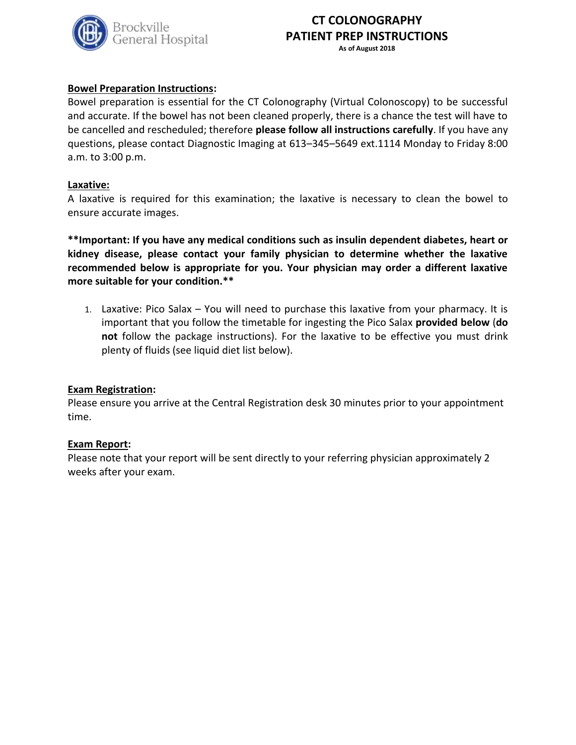

## **CT COLONOGRAPHY PATIENT PREP INSTRUCTIONS As of August 2018**

**Bowel Preparation Instructions:**

Bowel preparation is essential for the CT Colonography (Virtual Colonoscopy) to be successful and accurate. If the bowel has not been cleaned properly, there is a chance the test will have to be cancelled and rescheduled; therefore **please follow all instructions carefully**. If you have any questions, please contact Diagnostic Imaging at 613–345–5649 ext.1114 Monday to Friday 8:00 a.m. to 3:00 p.m.

### **Laxative:**

A laxative is required for this examination; the laxative is necessary to clean the bowel to ensure accurate images.

**\*\*Important: If you have any medical conditions such as insulin dependent diabetes, heart or kidney disease, please contact your family physician to determine whether the laxative recommended below is appropriate for you. Your physician may order a different laxative more suitable for your condition.\*\***

1. Laxative: Pico Salax – You will need to purchase this laxative from your pharmacy. It is important that you follow the timetable for ingesting the Pico Salax **provided below** (**do not** follow the package instructions). For the laxative to be effective you must drink plenty of fluids (see liquid diet list below).

### **Exam Registration:**

Please ensure you arrive at the Central Registration desk 30 minutes prior to your appointment time.

### **Exam Report:**

Please note that your report will be sent directly to your referring physician approximately 2 weeks after your exam.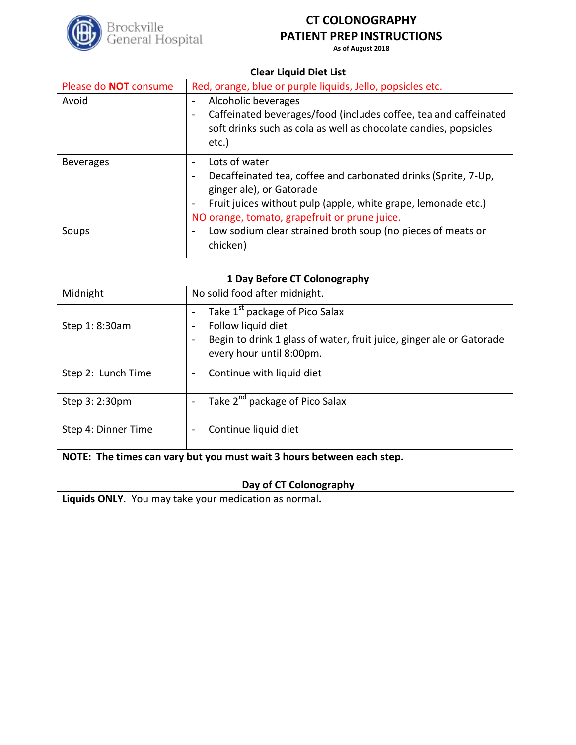

# **CT COLONOGRAPHY PATIENT PREP INSTRUCTIONS**

**As of August 2018**

### **Clear Liquid Diet List**

| Please do <b>NOT</b> consume | Red, orange, blue or purple liquids, Jello, popsicles etc.                                                                                                                                                                                                                                      |
|------------------------------|-------------------------------------------------------------------------------------------------------------------------------------------------------------------------------------------------------------------------------------------------------------------------------------------------|
| Avoid                        | Alcoholic beverages<br>$\overline{\phantom{a}}$<br>Caffeinated beverages/food (includes coffee, tea and caffeinated<br>$\overline{\phantom{a}}$<br>soft drinks such as cola as well as chocolate candies, popsicles<br>etc.)                                                                    |
| <b>Beverages</b>             | Lots of water<br>$\sim$<br>Decaffeinated tea, coffee and carbonated drinks (Sprite, 7-Up,<br>$\overline{\phantom{a}}$<br>ginger ale), or Gatorade<br>Fruit juices without pulp (apple, white grape, lemonade etc.)<br>$\overline{\phantom{0}}$<br>NO orange, tomato, grapefruit or prune juice. |
| Soups                        | Low sodium clear strained broth soup (no pieces of meats or<br>$\overline{\phantom{a}}$<br>chicken)                                                                                                                                                                                             |

### **1 Day Before CT Colonography**

| Midnight            | No solid food after midnight.                                                                                                                                                                                                                            |
|---------------------|----------------------------------------------------------------------------------------------------------------------------------------------------------------------------------------------------------------------------------------------------------|
| Step 1: 8:30am      | Take 1 <sup>st</sup> package of Pico Salax<br>$\overline{\phantom{a}}$<br>Follow liquid diet<br>$\overline{\phantom{a}}$<br>Begin to drink 1 glass of water, fruit juice, ginger ale or Gatorade<br>$\overline{\phantom{a}}$<br>every hour until 8:00pm. |
| Step 2: Lunch Time  | Continue with liquid diet<br>$\qquad \qquad \blacksquare$                                                                                                                                                                                                |
| Step 3: 2:30pm      | Take 2 <sup>nd</sup> package of Pico Salax                                                                                                                                                                                                               |
| Step 4: Dinner Time | Continue liquid diet                                                                                                                                                                                                                                     |

# **NOTE: The times can vary but you must wait 3 hours between each step.**

# **Day of CT Colonography**

**Liquids ONLY**. You may take your medication as normal**.**